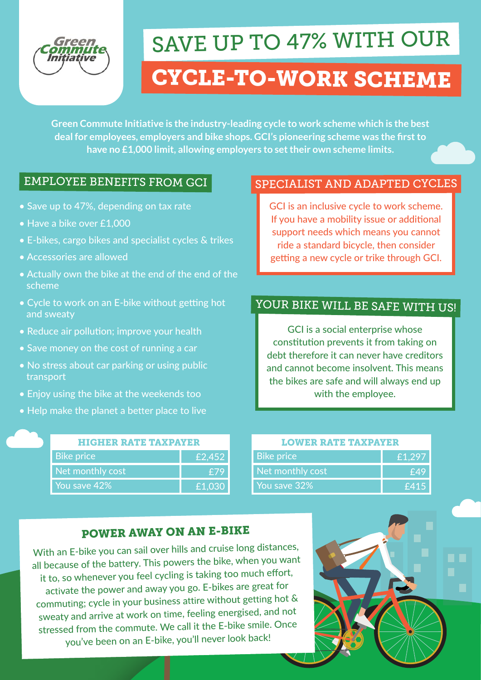# SAVE UP TO 47% WITH OUR

## CYCLE-TO-WORK SCHEME

**Green Commute Initiative is the industry-leading cycle to work scheme which is the best deal for employees, employers and bike shops. GCI's pioneering scheme was the first to have no £1,000 limit, allowing employers to set their own scheme limits.**

#### EMPLOYEE BENEFITS FROM GCI

- Save up to 47%, depending on tax rate
- Have a bike over £1,000
- E-bikes, cargo bikes and specialist cycles & trikes
- Accessories are allowed
- Actually own the bike at the end of the end of the scheme
- Cycle to work on an E-bike without getting hot and sweaty
- Reduce air pollution; improve your health
- Save money on the cost of running a car
- No stress about car parking or using public transport
- Enjoy using the bike at the weekends too
- Help make the planet a better place to live

| <b>HIGHER RATE TAXPAYER</b> |        |
|-----------------------------|--------|
| <b>Bike price</b>           | £2,452 |
| Net monthly cost            | £79    |
| You save 42%                | £1,030 |

#### SPECIALIST AND ADAPTED CYCLES

GCI is an inclusive cycle to work scheme. If you have a mobility issue or additional support needs which means you cannot ride a standard bicycle, then consider getting a new cycle or trike through GCI.

## YOUR BIKE WILL BE SAFE WITH US!

GCI is a social enterprise whose constitution prevents it from taking on debt therefore it can never have creditors and cannot become insolvent. This means the bikes are safe and will always end up with the employee.

| <b>LOWER RATE TAXPAYER</b> |        |
|----------------------------|--------|
| <b>Bike price</b>          | £1,297 |
| Net monthly cost           | £49    |
| You save 32%               | £415   |

#### POWER AWAY ON AN E-BIKE

With an E-bike you can sail over hills and cruise long distances, all because of the battery. This powers the bike, when you want it to, so whenever you feel cycling is taking too much effort, activate the power and away you go. E-bikes are great for commuting; cycle in your business attire without getting hot & sweaty and arrive at work on time, feeling energised, and not stressed from the commute. We call it the E-bike smile. Once you've been on an E-bike, you'll never look back!